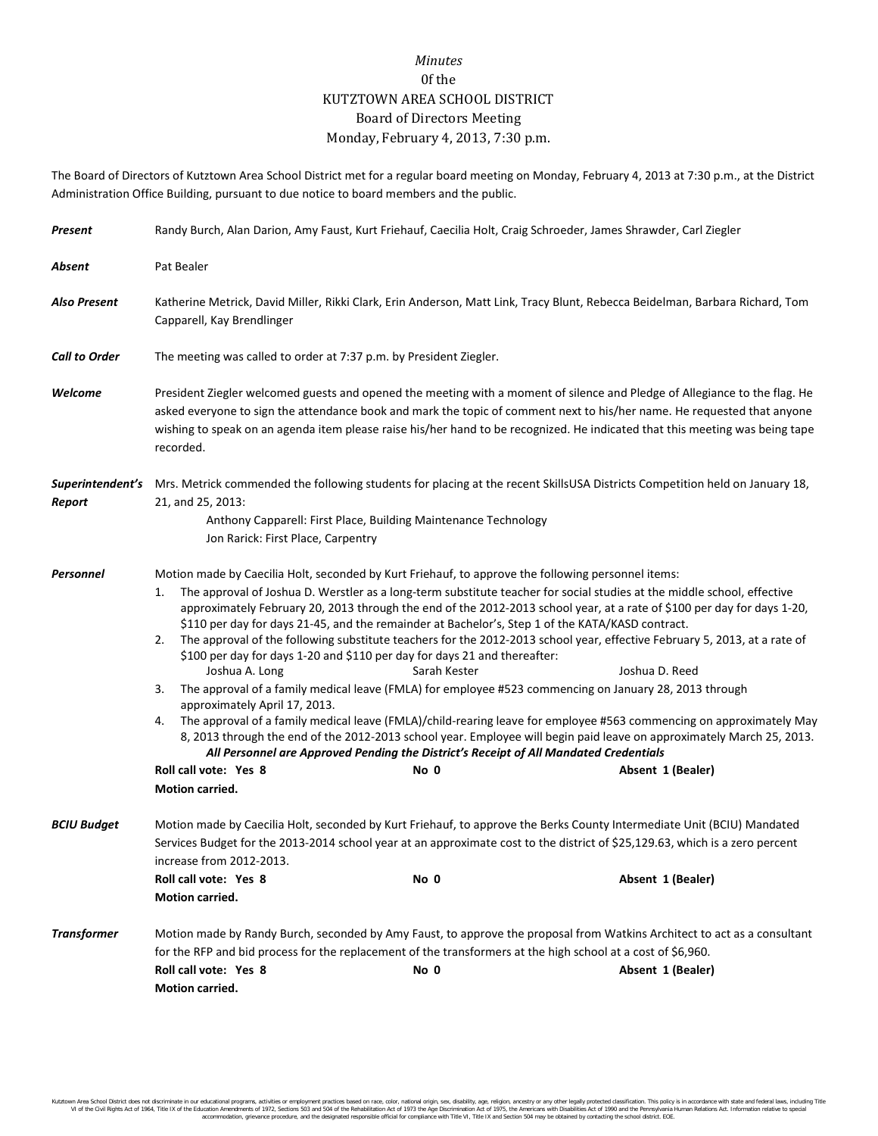## *Minutes* 0f the KUTZTOWN AREA SCHOOL DISTRICT Board of Directors Meeting Monday, February 4, 2013, 7:30 p.m.

The Board of Directors of Kutztown Area School District met for a regular board meeting on Monday, February 4, 2013 at 7:30 p.m., at the District Administration Office Building, pursuant to due notice to board members and the public.

| Present              | Randy Burch, Alan Darion, Amy Faust, Kurt Friehauf, Caecilia Holt, Craig Schroeder, James Shrawder, Carl Ziegler                                                                                                                                                                                                                                                                                   |                                                                                                                                                                                                                                                                                                                                                                                                      |                                                                                                                                                                                                                                                                                                                                                                                                                                                                                                                                                                                                                                                                                                                                                                                  |  |  |
|----------------------|----------------------------------------------------------------------------------------------------------------------------------------------------------------------------------------------------------------------------------------------------------------------------------------------------------------------------------------------------------------------------------------------------|------------------------------------------------------------------------------------------------------------------------------------------------------------------------------------------------------------------------------------------------------------------------------------------------------------------------------------------------------------------------------------------------------|----------------------------------------------------------------------------------------------------------------------------------------------------------------------------------------------------------------------------------------------------------------------------------------------------------------------------------------------------------------------------------------------------------------------------------------------------------------------------------------------------------------------------------------------------------------------------------------------------------------------------------------------------------------------------------------------------------------------------------------------------------------------------------|--|--|
| Absent               | Pat Bealer                                                                                                                                                                                                                                                                                                                                                                                         |                                                                                                                                                                                                                                                                                                                                                                                                      |                                                                                                                                                                                                                                                                                                                                                                                                                                                                                                                                                                                                                                                                                                                                                                                  |  |  |
| <b>Also Present</b>  | Katherine Metrick, David Miller, Rikki Clark, Erin Anderson, Matt Link, Tracy Blunt, Rebecca Beidelman, Barbara Richard, Tom<br>Capparell, Kay Brendlinger                                                                                                                                                                                                                                         |                                                                                                                                                                                                                                                                                                                                                                                                      |                                                                                                                                                                                                                                                                                                                                                                                                                                                                                                                                                                                                                                                                                                                                                                                  |  |  |
| <b>Call to Order</b> | The meeting was called to order at 7:37 p.m. by President Ziegler.                                                                                                                                                                                                                                                                                                                                 |                                                                                                                                                                                                                                                                                                                                                                                                      |                                                                                                                                                                                                                                                                                                                                                                                                                                                                                                                                                                                                                                                                                                                                                                                  |  |  |
| Welcome              | President Ziegler welcomed guests and opened the meeting with a moment of silence and Pledge of Allegiance to the flag. He<br>asked everyone to sign the attendance book and mark the topic of comment next to his/her name. He requested that anyone<br>wishing to speak on an agenda item please raise his/her hand to be recognized. He indicated that this meeting was being tape<br>recorded. |                                                                                                                                                                                                                                                                                                                                                                                                      |                                                                                                                                                                                                                                                                                                                                                                                                                                                                                                                                                                                                                                                                                                                                                                                  |  |  |
| Report               | Superintendent's Mrs. Metrick commended the following students for placing at the recent SkillsUSA Districts Competition held on January 18,<br>21, and 25, 2013:<br>Anthony Capparell: First Place, Building Maintenance Technology<br>Jon Rarick: First Place, Carpentry                                                                                                                         |                                                                                                                                                                                                                                                                                                                                                                                                      |                                                                                                                                                                                                                                                                                                                                                                                                                                                                                                                                                                                                                                                                                                                                                                                  |  |  |
| <b>Personnel</b>     | 1.<br>2.<br>Joshua A. Long<br>3.<br>approximately April 17, 2013.<br>4.<br>Roll call vote: Yes 8<br><b>Motion carried.</b>                                                                                                                                                                                                                                                                         | Motion made by Caecilia Holt, seconded by Kurt Friehauf, to approve the following personnel items:<br>\$110 per day for days 21-45, and the remainder at Bachelor's, Step 1 of the KATA/KASD contract.<br>\$100 per day for days 1-20 and \$110 per day for days 21 and thereafter:<br>Sarah Kester<br>All Personnel are Approved Pending the District's Receipt of All Mandated Credentials<br>No 0 | The approval of Joshua D. Werstler as a long-term substitute teacher for social studies at the middle school, effective<br>approximately February 20, 2013 through the end of the 2012-2013 school year, at a rate of \$100 per day for days 1-20,<br>The approval of the following substitute teachers for the 2012-2013 school year, effective February 5, 2013, at a rate of<br>Joshua D. Reed<br>The approval of a family medical leave (FMLA) for employee #523 commencing on January 28, 2013 through<br>The approval of a family medical leave (FMLA)/child-rearing leave for employee #563 commencing on approximately May<br>8, 2013 through the end of the 2012-2013 school year. Employee will begin paid leave on approximately March 25, 2013.<br>Absent 1 (Bealer) |  |  |
| <b>BCIU Budget</b>   | Motion made by Caecilia Holt, seconded by Kurt Friehauf, to approve the Berks County Intermediate Unit (BCIU) Mandated<br>Services Budget for the 2013-2014 school year at an approximate cost to the district of \$25,129.63, which is a zero percent<br>increase from 2012-2013.<br>No 0<br>Absent 1 (Bealer)<br>Roll call vote: Yes 8<br>Motion carried.                                        |                                                                                                                                                                                                                                                                                                                                                                                                      |                                                                                                                                                                                                                                                                                                                                                                                                                                                                                                                                                                                                                                                                                                                                                                                  |  |  |
| <b>Transformer</b>   | Roll call vote: Yes 8<br>Motion carried.                                                                                                                                                                                                                                                                                                                                                           | for the RFP and bid process for the replacement of the transformers at the high school at a cost of \$6,960.<br>No 0                                                                                                                                                                                                                                                                                 | Motion made by Randy Burch, seconded by Amy Faust, to approve the proposal from Watkins Architect to act as a consultant<br>Absent 1 (Bealer)                                                                                                                                                                                                                                                                                                                                                                                                                                                                                                                                                                                                                                    |  |  |